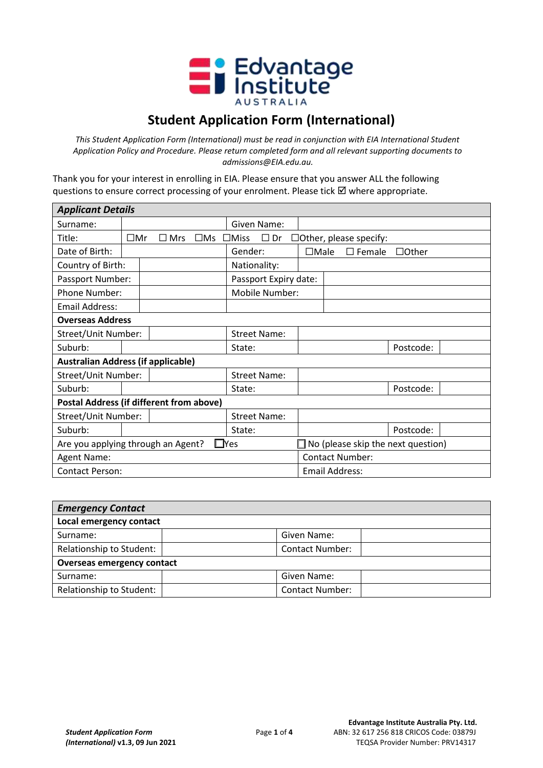

## **Student Application Form (International)**

*This Student Application Form (International) must be read in conjunction with EIA International Student Application Policy and Procedure. Please return completed form and all relevant supporting documents to admissions@EIA.edu.au.* 

Thank you for your interest in enrolling in EIA. Please ensure that you answer ALL the following questions to ensure correct processing of your enrolment. Please tick  $\boxtimes$  where appropriate.

| <b>Applicant Details</b>                                                                         |                                                 |            |                        |                          |             |                               |              |
|--------------------------------------------------------------------------------------------------|-------------------------------------------------|------------|------------------------|--------------------------|-------------|-------------------------------|--------------|
| Surname:                                                                                         |                                                 |            |                        | Given Name:              |             |                               |              |
| Title:                                                                                           | $\square$ Mr                                    | $\Box$ Mrs | $\square$ Ms           | $\Box$ Dr<br>$\Box$ Miss |             | $\Box$ Other, please specify: |              |
| Date of Birth:                                                                                   |                                                 |            |                        | Gender:                  | $\Box$ Male | $\square$ Female              | $\Box$ Other |
| Country of Birth:                                                                                |                                                 |            |                        | Nationality:             |             |                               |              |
| Passport Number:                                                                                 |                                                 |            |                        | Passport Expiry date:    |             |                               |              |
| Phone Number:                                                                                    |                                                 |            |                        | Mobile Number:           |             |                               |              |
| Email Address:                                                                                   |                                                 |            |                        |                          |             |                               |              |
| <b>Overseas Address</b>                                                                          |                                                 |            |                        |                          |             |                               |              |
| Street/Unit Number:                                                                              |                                                 |            |                        | <b>Street Name:</b>      |             |                               |              |
| Suburb:                                                                                          |                                                 |            |                        | State:                   |             |                               | Postcode:    |
|                                                                                                  | <b>Australian Address (if applicable)</b>       |            |                        |                          |             |                               |              |
| Street/Unit Number:                                                                              |                                                 |            |                        | <b>Street Name:</b>      |             |                               |              |
| Suburb:                                                                                          |                                                 |            |                        | State:                   |             |                               | Postcode:    |
| <b>Postal Address (if different from above)</b>                                                  |                                                 |            |                        |                          |             |                               |              |
| Street/Unit Number:                                                                              |                                                 |            |                        | <b>Street Name:</b>      |             |                               |              |
| Suburb:                                                                                          |                                                 |            |                        | State:                   |             |                               | Postcode:    |
| $\square$ Yes<br>$\Box$ No (please skip the next question)<br>Are you applying through an Agent? |                                                 |            |                        |                          |             |                               |              |
| Agent Name:                                                                                      |                                                 |            | <b>Contact Number:</b> |                          |             |                               |              |
|                                                                                                  | <b>Email Address:</b><br><b>Contact Person:</b> |            |                        |                          |             |                               |              |

| <b>Emergency Contact</b>          |  |                        |  |
|-----------------------------------|--|------------------------|--|
| Local emergency contact           |  |                        |  |
| Surname:                          |  | Given Name:            |  |
| Relationship to Student:          |  | <b>Contact Number:</b> |  |
| <b>Overseas emergency contact</b> |  |                        |  |
| Surname:                          |  | Given Name:            |  |
| Relationship to Student:          |  | <b>Contact Number:</b> |  |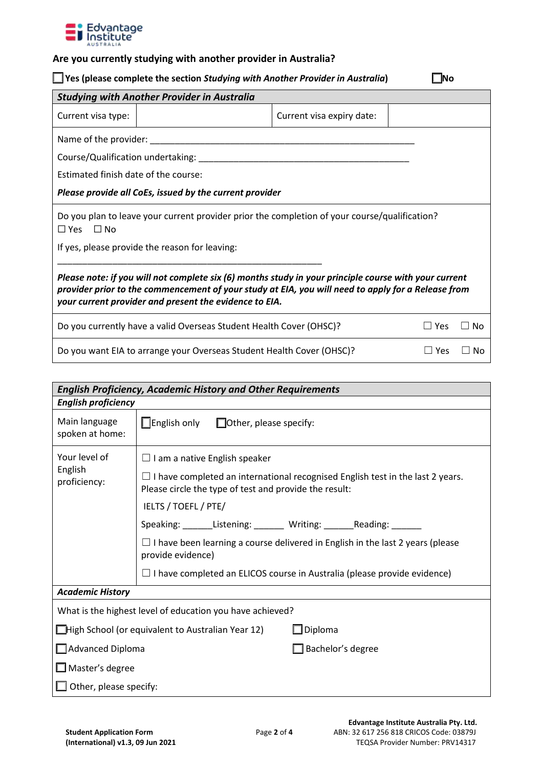

## **Are you currently studying with another provider in Australia?**

| $\Box$ Yes (please complete the section Studying with Another Provider in Australia) | $\Box$ No |
|--------------------------------------------------------------------------------------|-----------|
|                                                                                      |           |

| <b>Studying with Another Provider in Australia</b>                                                                                                                                                                                                                    |                           |            |                    |
|-----------------------------------------------------------------------------------------------------------------------------------------------------------------------------------------------------------------------------------------------------------------------|---------------------------|------------|--------------------|
| Current visa type:                                                                                                                                                                                                                                                    | Current visa expiry date: |            |                    |
| Name of the provider:                                                                                                                                                                                                                                                 |                           |            |                    |
| Course/Qualification undertaking: _________                                                                                                                                                                                                                           |                           |            |                    |
| Estimated finish date of the course:                                                                                                                                                                                                                                  |                           |            |                    |
| Please provide all CoEs, issued by the current provider                                                                                                                                                                                                               |                           |            |                    |
| Do you plan to leave your current provider prior the completion of your course/qualification?<br>$\square$ Yes<br>⊟ No                                                                                                                                                |                           |            |                    |
| If yes, please provide the reason for leaving:                                                                                                                                                                                                                        |                           |            |                    |
| Please note: if you will not complete six (6) months study in your principle course with your current<br>provider prior to the commencement of your study at EIA, you will need to apply for a Release from<br>your current provider and present the evidence to EIA. |                           |            |                    |
| Do you currently have a valid Overseas Student Health Cover (OHSC)?                                                                                                                                                                                                   |                           | $\Box$ Yes | $\vert$ $\vert$ No |
| Do you want EIA to arrange your Overseas Student Health Cover (OHSC)?                                                                                                                                                                                                 |                           | Yes        | Nο                 |

| <b>English Proficiency, Academic History and Other Requirements</b> |                                                                                                                                                 |  |  |  |  |
|---------------------------------------------------------------------|-------------------------------------------------------------------------------------------------------------------------------------------------|--|--|--|--|
|                                                                     | <b>English proficiency</b>                                                                                                                      |  |  |  |  |
| Main language<br>spoken at home:                                    | $\Box$ English only<br>$\Box$ Other, please specify:                                                                                            |  |  |  |  |
| Your level of                                                       | $\Box$ I am a native English speaker                                                                                                            |  |  |  |  |
| English<br>proficiency:                                             | $\Box$ I have completed an international recognised English test in the last 2 years.<br>Please circle the type of test and provide the result: |  |  |  |  |
|                                                                     | IELTS / TOEFL / PTE/                                                                                                                            |  |  |  |  |
|                                                                     | Speaking: _______Listening: _______ Writing: _______ Reading: _______                                                                           |  |  |  |  |
|                                                                     | $\Box$ I have been learning a course delivered in English in the last 2 years (please<br>provide evidence)                                      |  |  |  |  |
|                                                                     | $\Box$ I have completed an ELICOS course in Australia (please provide evidence)                                                                 |  |  |  |  |
| <b>Academic History</b>                                             |                                                                                                                                                 |  |  |  |  |
| What is the highest level of education you have achieved?           |                                                                                                                                                 |  |  |  |  |
| Diploma<br>□High School (or equivalent to Australian Year 12)       |                                                                                                                                                 |  |  |  |  |
| Advanced Diploma<br>Bachelor's degree                               |                                                                                                                                                 |  |  |  |  |
| $\Box$ Master's degree                                              |                                                                                                                                                 |  |  |  |  |
| $\Box$ Other, please specify:                                       |                                                                                                                                                 |  |  |  |  |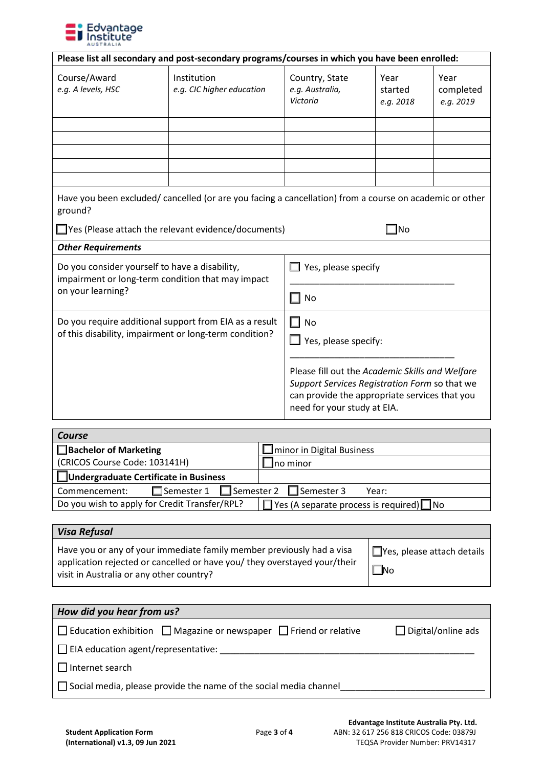

| Please list all secondary and post-secondary programs/courses in which you have been enrolled:                                                                                         |                                          |                                                                                                                                                                                                    |                              |                                |
|----------------------------------------------------------------------------------------------------------------------------------------------------------------------------------------|------------------------------------------|----------------------------------------------------------------------------------------------------------------------------------------------------------------------------------------------------|------------------------------|--------------------------------|
| Course/Award<br>e.g. A levels, HSC                                                                                                                                                     | Institution<br>e.g. CIC higher education | Country, State<br>e.g. Australia,<br>Victoria                                                                                                                                                      | Year<br>started<br>e.g. 2018 | Year<br>completed<br>e.g. 2019 |
|                                                                                                                                                                                        |                                          |                                                                                                                                                                                                    |                              |                                |
| Have you been excluded/ cancelled (or are you facing a cancellation) from a course on academic or other<br>ground?<br>$\Box$ Yes (Please attach the relevant evidence/documents)<br>No |                                          |                                                                                                                                                                                                    |                              |                                |
| <b>Other Requirements</b>                                                                                                                                                              |                                          |                                                                                                                                                                                                    |                              |                                |
| Do you consider yourself to have a disability,<br>impairment or long-term condition that may impact                                                                                    |                                          | Yes, please specify                                                                                                                                                                                |                              |                                |
| on your learning?                                                                                                                                                                      |                                          | No                                                                                                                                                                                                 |                              |                                |
| Do you require additional support from EIA as a result<br>of this disability, impairment or long-term condition?                                                                       |                                          | <b>No</b><br>H<br>$\Box$ Yes, please specify:<br>Please fill out the Academic Skills and Welfare<br>Support Services Registration Form so that we<br>can provide the appropriate services that you |                              |                                |
|                                                                                                                                                                                        |                                          | need for your study at EIA.                                                                                                                                                                        |                              |                                |

| <b>Course</b>                                          |                                                       |  |
|--------------------------------------------------------|-------------------------------------------------------|--|
| $\Box$ Bachelor of Marketing                           | $\Box$ minor in Digital Business                      |  |
| (CRICOS Course Code: 103141H)                          | ⊿no minor                                             |  |
| Undergraduate Certificate in Business                  |                                                       |  |
| □Semester 1 □ Semester 2 □ Semester 3<br>Commencement: | Year:                                                 |  |
| Do you wish to apply for Credit Transfer/RPL?          | $\Box$ Yes (A separate process is required) $\Box$ No |  |

| <b>Visa Refusal</b>                                                                                                                                                                            |                                                |
|------------------------------------------------------------------------------------------------------------------------------------------------------------------------------------------------|------------------------------------------------|
| Have you or any of your immediate family member previously had a visa<br>application rejected or cancelled or have you/ they overstayed your/their<br>visit in Australia or any other country? | $\Box$ Yes, please attach details<br>$\Box$ No |

| How did you hear from us?                                                          |                           |  |
|------------------------------------------------------------------------------------|---------------------------|--|
| $\Box$ Education exhibition $\Box$ Magazine or newspaper $\Box$ Friend or relative | $\Box$ Digital/online ads |  |
| $\Box$ EIA education agent/representative:                                         |                           |  |
| $\Box$ Internet search                                                             |                           |  |
| $\Box$ Social media, please provide the name of the social media channel           |                           |  |